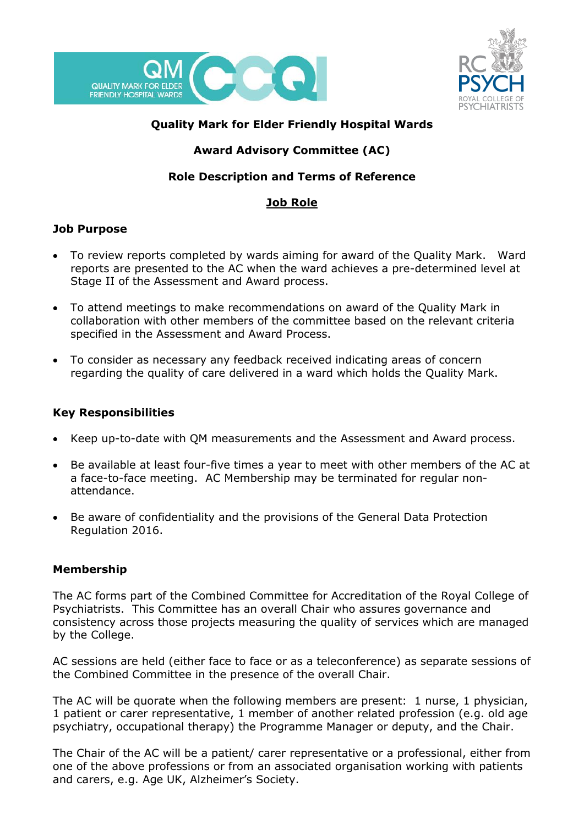



# **Quality Mark for Elder Friendly Hospital Wards**

# **Award Advisory Committee (AC)**

# **Role Description and Terms of Reference**

## **Job Role**

## **Job Purpose**

- To review reports completed by wards aiming for award of the Quality Mark. Ward reports are presented to the AC when the ward achieves a pre-determined level at Stage II of the Assessment and Award process.
- To attend meetings to make recommendations on award of the Quality Mark in collaboration with other members of the committee based on the relevant criteria specified in the Assessment and Award Process.
- To consider as necessary any feedback received indicating areas of concern regarding the quality of care delivered in a ward which holds the Quality Mark.

### **Key Responsibilities**

- Keep up-to-date with QM measurements and the Assessment and Award process.
- Be available at least four-five times a year to meet with other members of the AC at a face-to-face meeting. AC Membership may be terminated for regular nonattendance.
- Be aware of confidentiality and the provisions of the General Data Protection Regulation 2016.

### **Membership**

The AC forms part of the Combined Committee for Accreditation of the Royal College of Psychiatrists. This Committee has an overall Chair who assures governance and consistency across those projects measuring the quality of services which are managed by the College.

AC sessions are held (either face to face or as a teleconference) as separate sessions of the Combined Committee in the presence of the overall Chair.

The AC will be quorate when the following members are present: 1 nurse, 1 physician, 1 patient or carer representative, 1 member of another related profession (e.g. old age psychiatry, occupational therapy) the Programme Manager or deputy, and the Chair.

The Chair of the AC will be a patient/ carer representative or a professional, either from one of the above professions or from an associated organisation working with patients and carers, e.g. Age UK, Alzheimer's Society.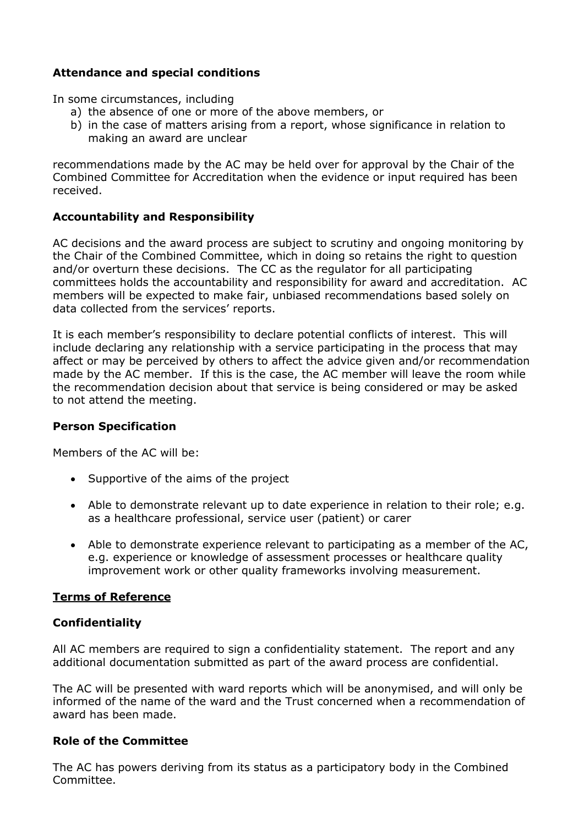## **Attendance and special conditions**

In some circumstances, including

- a) the absence of one or more of the above members, or
- b) in the case of matters arising from a report, whose significance in relation to making an award are unclear

recommendations made by the AC may be held over for approval by the Chair of the Combined Committee for Accreditation when the evidence or input required has been received.

## **Accountability and Responsibility**

AC decisions and the award process are subject to scrutiny and ongoing monitoring by the Chair of the Combined Committee, which in doing so retains the right to question and/or overturn these decisions. The CC as the regulator for all participating committees holds the accountability and responsibility for award and accreditation. AC members will be expected to make fair, unbiased recommendations based solely on data collected from the services' reports.

It is each member's responsibility to declare potential conflicts of interest. This will include declaring any relationship with a service participating in the process that may affect or may be perceived by others to affect the advice given and/or recommendation made by the AC member. If this is the case, the AC member will leave the room while the recommendation decision about that service is being considered or may be asked to not attend the meeting.

### **Person Specification**

Members of the AC will be:

- Supportive of the aims of the project
- Able to demonstrate relevant up to date experience in relation to their role; e.g. as a healthcare professional, service user (patient) or carer
- Able to demonstrate experience relevant to participating as a member of the AC, e.g. experience or knowledge of assessment processes or healthcare quality improvement work or other quality frameworks involving measurement.

### **Terms of Reference**

### **Confidentiality**

All AC members are required to sign a confidentiality statement. The report and any additional documentation submitted as part of the award process are confidential.

The AC will be presented with ward reports which will be anonymised, and will only be informed of the name of the ward and the Trust concerned when a recommendation of award has been made.

### **Role of the Committee**

The AC has powers deriving from its status as a participatory body in the Combined Committee.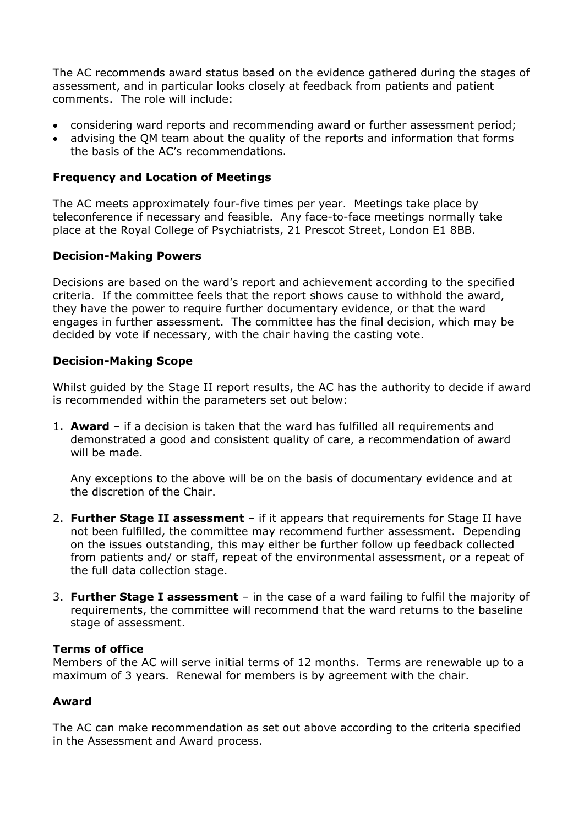The AC recommends award status based on the evidence gathered during the stages of assessment, and in particular looks closely at feedback from patients and patient comments. The role will include:

- considering ward reports and recommending award or further assessment period;
- advising the QM team about the quality of the reports and information that forms the basis of the AC's recommendations.

#### **Frequency and Location of Meetings**

The AC meets approximately four-five times per year. Meetings take place by teleconference if necessary and feasible. Any face-to-face meetings normally take place at the Royal College of Psychiatrists, 21 Prescot Street, London E1 8BB.

#### **Decision-Making Powers**

Decisions are based on the ward's report and achievement according to the specified criteria. If the committee feels that the report shows cause to withhold the award, they have the power to require further documentary evidence, or that the ward engages in further assessment. The committee has the final decision, which may be decided by vote if necessary, with the chair having the casting vote.

#### **Decision-Making Scope**

Whilst guided by the Stage II report results, the AC has the authority to decide if award is recommended within the parameters set out below:

1. **Award** – if a decision is taken that the ward has fulfilled all requirements and demonstrated a good and consistent quality of care, a recommendation of award will be made.

Any exceptions to the above will be on the basis of documentary evidence and at the discretion of the Chair.

- 2. **Further Stage II assessment** if it appears that requirements for Stage II have not been fulfilled, the committee may recommend further assessment. Depending on the issues outstanding, this may either be further follow up feedback collected from patients and/ or staff, repeat of the environmental assessment, or a repeat of the full data collection stage.
- 3. **Further Stage I assessment** in the case of a ward failing to fulfil the majority of requirements, the committee will recommend that the ward returns to the baseline stage of assessment.

#### **Terms of office**

Members of the AC will serve initial terms of 12 months. Terms are renewable up to a maximum of 3 years. Renewal for members is by agreement with the chair.

### **Award**

The AC can make recommendation as set out above according to the criteria specified in the Assessment and Award process.